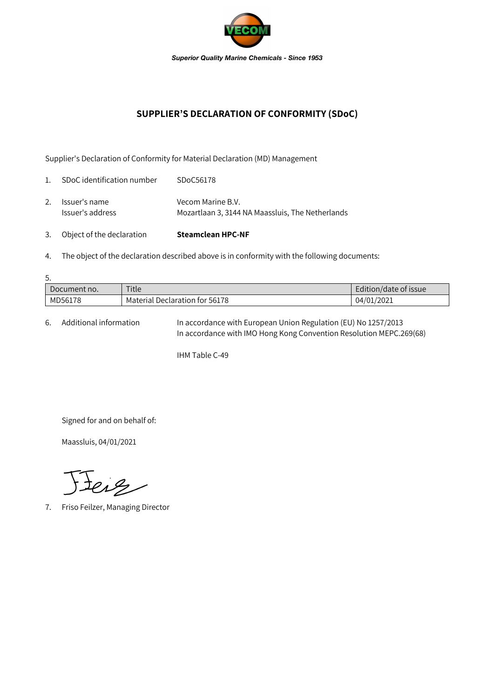

## **SUPPLIER'S DECLARATION OF CONFORMITY (SDoC)**

Supplier's Declaration of Conformity for Material Declaration (MD) Management

| 3.             | Object of the declaration         | <b>Steamclean HPC-NF</b>                                              |
|----------------|-----------------------------------|-----------------------------------------------------------------------|
| 2.             | Issuer's name<br>Issuer's address | Vecom Marine B.V.<br>Mozartlaan 3, 3144 NA Maassluis, The Netherlands |
| $\mathbf{1}$ . | SDoC identification number        | SDoC56178                                                             |

4. The object of the declaration described above is in conformity with the following documents:

| 5.           |                                |                       |  |  |  |  |
|--------------|--------------------------------|-----------------------|--|--|--|--|
| Document no. | Title                          | Edition/date of issue |  |  |  |  |
| MD56178      | Material Declaration for 56178 | 04/01/2021            |  |  |  |  |

6. Additional information In accordance with European Union Regulation (EU) No 1257/2013 In accordance with IMO Hong Kong Convention Resolution MEPC.269(68)

IHM Table C-49

Signed for and on behalf of:

Maassluis, 04/01/2021

Jeig

7. Friso Feilzer, Managing Director